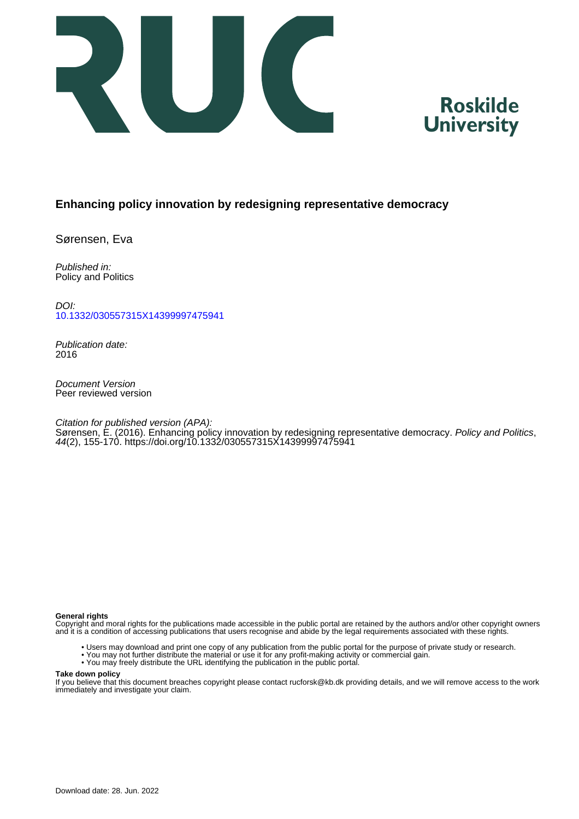



# **Enhancing policy innovation by redesigning representative democracy**

Sørensen, Eva

Published in: Policy and Politics

DOI: [10.1332/030557315X14399997475941](https://doi.org/10.1332/030557315X14399997475941)

Publication date: 2016

Document Version Peer reviewed version

Citation for published version (APA):

Sørensen, É. (2016). Enhancing policy innovation by redesigning representative democracy. Policy and Politics, 44(2), 155-170.<https://doi.org/10.1332/030557315X14399997475941>

#### **General rights**

Copyright and moral rights for the publications made accessible in the public portal are retained by the authors and/or other copyright owners and it is a condition of accessing publications that users recognise and abide by the legal requirements associated with these rights.

- Users may download and print one copy of any publication from the public portal for the purpose of private study or research.
- You may not further distribute the material or use it for any profit-making activity or commercial gain.
- You may freely distribute the URL identifying the publication in the public portal.

#### **Take down policy**

If you believe that this document breaches copyright please contact rucforsk@kb.dk providing details, and we will remove access to the work immediately and investigate your claim.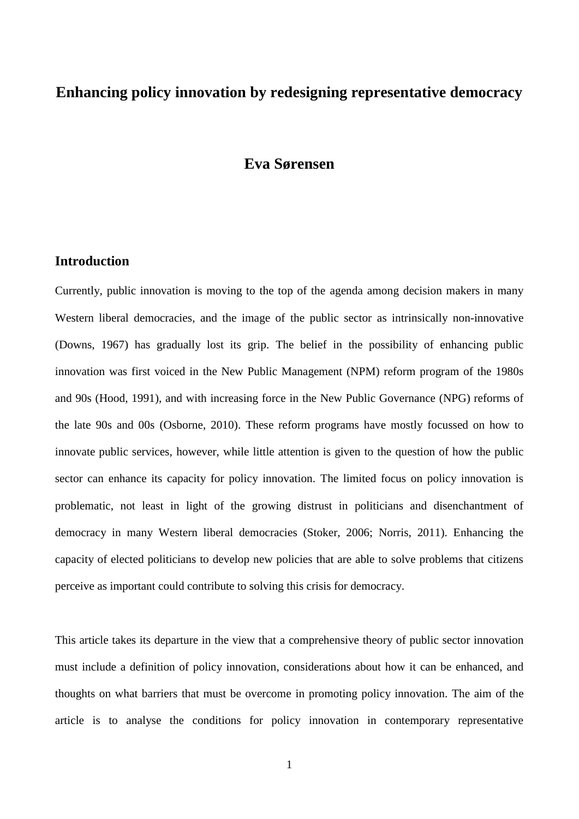# **Enhancing policy innovation by redesigning representative democracy**

# **Eva Sørensen**

## **Introduction**

Currently, public innovation is moving to the top of the agenda among decision makers in many Western liberal democracies, and the image of the public sector as intrinsically non-innovative (Downs, 1967) has gradually lost its grip. The belief in the possibility of enhancing public innovation was first voiced in the New Public Management (NPM) reform program of the 1980s and 90s (Hood, 1991), and with increasing force in the New Public Governance (NPG) reforms of the late 90s and 00s (Osborne, 2010). These reform programs have mostly focussed on how to innovate public services, however, while little attention is given to the question of how the public sector can enhance its capacity for policy innovation. The limited focus on policy innovation is problematic, not least in light of the growing distrust in politicians and disenchantment of democracy in many Western liberal democracies (Stoker, 2006; Norris, 2011). Enhancing the capacity of elected politicians to develop new policies that are able to solve problems that citizens perceive as important could contribute to solving this crisis for democracy.

This article takes its departure in the view that a comprehensive theory of public sector innovation must include a definition of policy innovation, considerations about how it can be enhanced, and thoughts on what barriers that must be overcome in promoting policy innovation. The aim of the article is to analyse the conditions for policy innovation in contemporary representative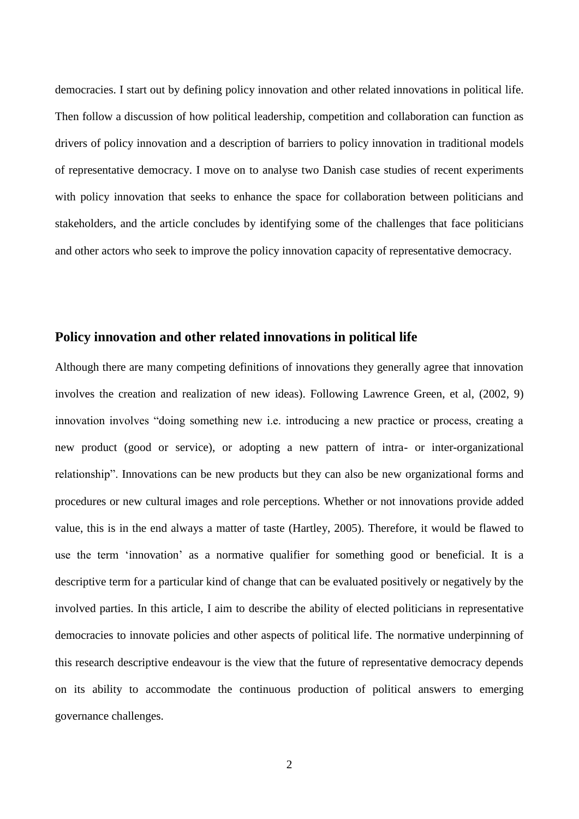democracies. I start out by defining policy innovation and other related innovations in political life. Then follow a discussion of how political leadership, competition and collaboration can function as drivers of policy innovation and a description of barriers to policy innovation in traditional models of representative democracy. I move on to analyse two Danish case studies of recent experiments with policy innovation that seeks to enhance the space for collaboration between politicians and stakeholders, and the article concludes by identifying some of the challenges that face politicians and other actors who seek to improve the policy innovation capacity of representative democracy.

# **Policy innovation and other related innovations in political life**

Although there are many competing definitions of innovations they generally agree that innovation involves the creation and realization of new ideas). Following Lawrence Green, et al, (2002, 9) innovation involves "doing something new i.e. introducing a new practice or process, creating a new product (good or service), or adopting a new pattern of intra- or inter-organizational relationship". Innovations can be new products but they can also be new organizational forms and procedures or new cultural images and role perceptions. Whether or not innovations provide added value, this is in the end always a matter of taste (Hartley, 2005). Therefore, it would be flawed to use the term 'innovation' as a normative qualifier for something good or beneficial. It is a descriptive term for a particular kind of change that can be evaluated positively or negatively by the involved parties. In this article, I aim to describe the ability of elected politicians in representative democracies to innovate policies and other aspects of political life. The normative underpinning of this research descriptive endeavour is the view that the future of representative democracy depends on its ability to accommodate the continuous production of political answers to emerging governance challenges.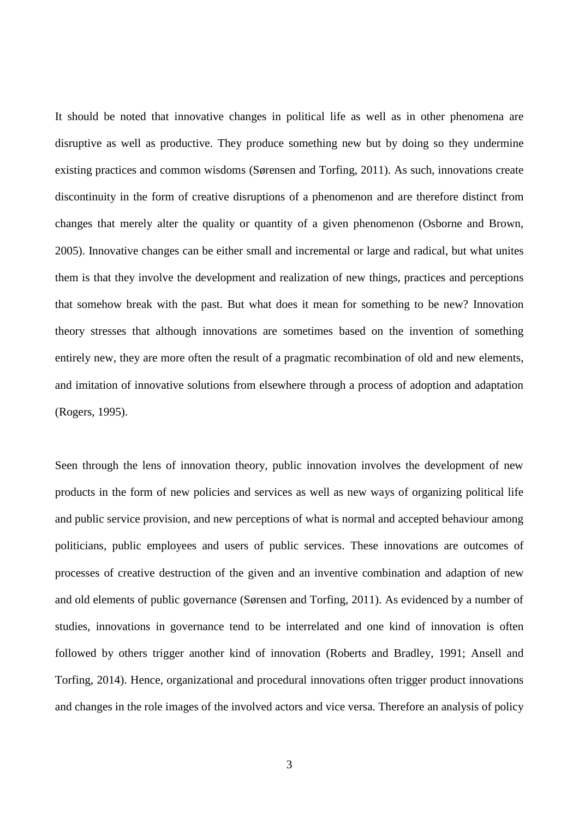It should be noted that innovative changes in political life as well as in other phenomena are disruptive as well as productive. They produce something new but by doing so they undermine existing practices and common wisdoms (Sørensen and Torfing, 2011). As such, innovations create discontinuity in the form of creative disruptions of a phenomenon and are therefore distinct from changes that merely alter the quality or quantity of a given phenomenon (Osborne and Brown, 2005). Innovative changes can be either small and incremental or large and radical, but what unites them is that they involve the development and realization of new things, practices and perceptions that somehow break with the past. But what does it mean for something to be new? Innovation theory stresses that although innovations are sometimes based on the invention of something entirely new, they are more often the result of a pragmatic recombination of old and new elements, and imitation of innovative solutions from elsewhere through a process of adoption and adaptation (Rogers, 1995).

Seen through the lens of innovation theory, public innovation involves the development of new products in the form of new policies and services as well as new ways of organizing political life and public service provision, and new perceptions of what is normal and accepted behaviour among politicians, public employees and users of public services. These innovations are outcomes of processes of creative destruction of the given and an inventive combination and adaption of new and old elements of public governance (Sørensen and Torfing, 2011). As evidenced by a number of studies, innovations in governance tend to be interrelated and one kind of innovation is often followed by others trigger another kind of innovation (Roberts and Bradley, 1991; Ansell and Torfing, 2014). Hence, organizational and procedural innovations often trigger product innovations and changes in the role images of the involved actors and vice versa. Therefore an analysis of policy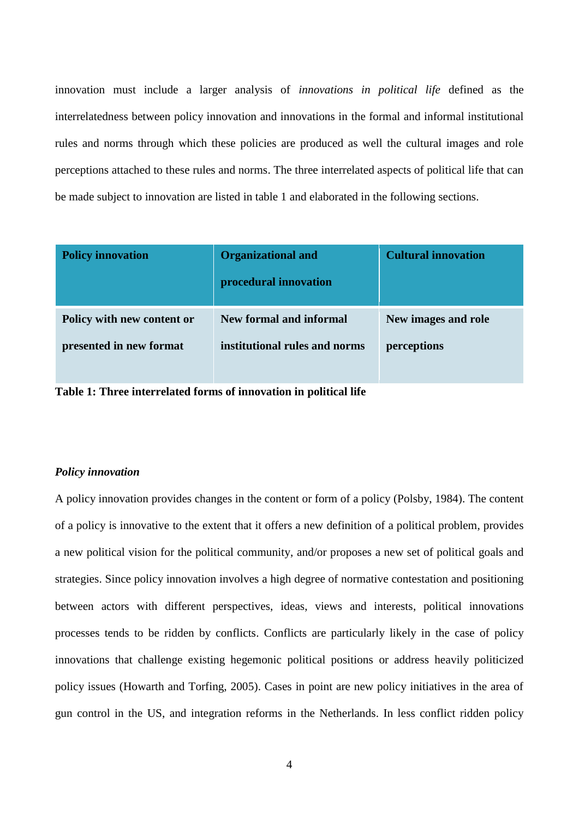innovation must include a larger analysis of *innovations in political life* defined as the interrelatedness between policy innovation and innovations in the formal and informal institutional rules and norms through which these policies are produced as well the cultural images and role perceptions attached to these rules and norms. The three interrelated aspects of political life that can be made subject to innovation are listed in table 1 and elaborated in the following sections.

| <b>Policy innovation</b>   | <b>Organizational and</b><br>procedural innovation | <b>Cultural innovation</b> |
|----------------------------|----------------------------------------------------|----------------------------|
| Policy with new content or | New formal and informal                            | New images and role        |
| presented in new format    | institutional rules and norms                      | perceptions                |
|                            |                                                    |                            |

**Table 1: Three interrelated forms of innovation in political life**

#### *Policy innovation*

A policy innovation provides changes in the content or form of a policy (Polsby, 1984). The content of a policy is innovative to the extent that it offers a new definition of a political problem, provides a new political vision for the political community, and/or proposes a new set of political goals and strategies. Since policy innovation involves a high degree of normative contestation and positioning between actors with different perspectives, ideas, views and interests, political innovations processes tends to be ridden by conflicts. Conflicts are particularly likely in the case of policy innovations that challenge existing hegemonic political positions or address heavily politicized policy issues (Howarth and Torfing, 2005). Cases in point are new policy initiatives in the area of gun control in the US, and integration reforms in the Netherlands. In less conflict ridden policy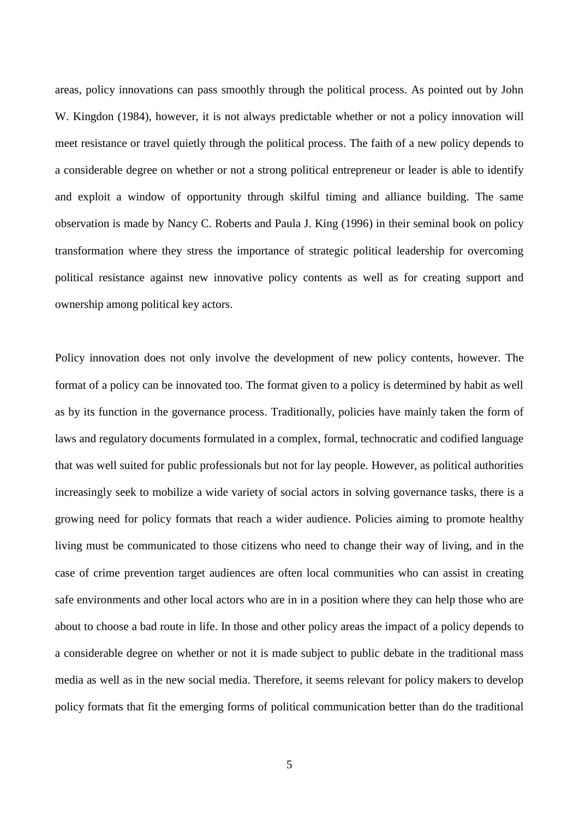areas, policy innovations can pass smoothly through the political process. As pointed out by John W. Kingdon (1984), however, it is not always predictable whether or not a policy innovation will meet resistance or travel quietly through the political process. The faith of a new policy depends to a considerable degree on whether or not a strong political entrepreneur or leader is able to identify and exploit a window of opportunity through skilful timing and alliance building. The same observation is made by Nancy C. Roberts and Paula J. King (1996) in their seminal book on policy transformation where they stress the importance of strategic political leadership for overcoming political resistance against new innovative policy contents as well as for creating support and ownership among political key actors.

Policy innovation does not only involve the development of new policy contents, however. The format of a policy can be innovated too. The format given to a policy is determined by habit as well as by its function in the governance process. Traditionally, policies have mainly taken the form of laws and regulatory documents formulated in a complex, formal, technocratic and codified language that was well suited for public professionals but not for lay people. However, as political authorities increasingly seek to mobilize a wide variety of social actors in solving governance tasks, there is a growing need for policy formats that reach a wider audience. Policies aiming to promote healthy living must be communicated to those citizens who need to change their way of living, and in the case of crime prevention target audiences are often local communities who can assist in creating safe environments and other local actors who are in in a position where they can help those who are about to choose a bad route in life. In those and other policy areas the impact of a policy depends to a considerable degree on whether or not it is made subject to public debate in the traditional mass media as well as in the new social media. Therefore, it seems relevant for policy makers to develop policy formats that fit the emerging forms of political communication better than do the traditional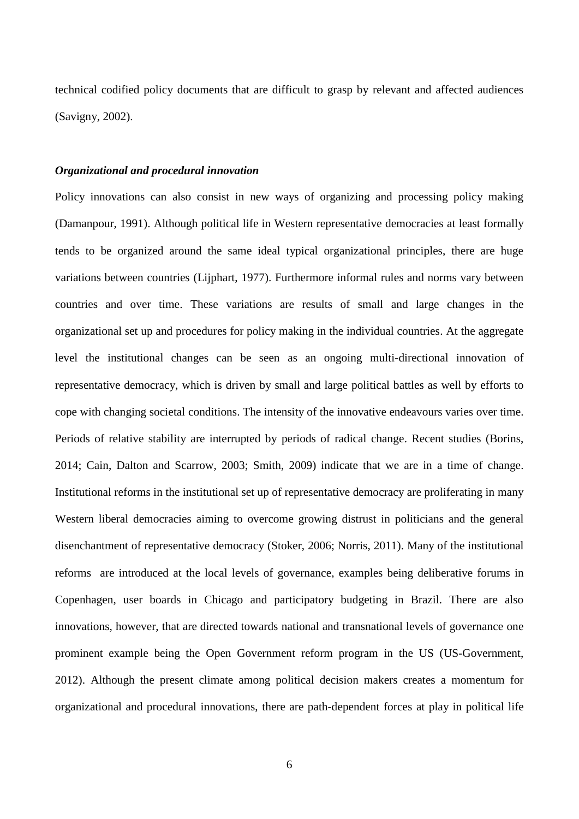technical codified policy documents that are difficult to grasp by relevant and affected audiences (Savigny, 2002).

#### *Organizational and procedural innovation*

Policy innovations can also consist in new ways of organizing and processing policy making (Damanpour, 1991). Although political life in Western representative democracies at least formally tends to be organized around the same ideal typical organizational principles, there are huge variations between countries (Lijphart, 1977). Furthermore informal rules and norms vary between countries and over time. These variations are results of small and large changes in the organizational set up and procedures for policy making in the individual countries. At the aggregate level the institutional changes can be seen as an ongoing multi-directional innovation of representative democracy, which is driven by small and large political battles as well by efforts to cope with changing societal conditions. The intensity of the innovative endeavours varies over time. Periods of relative stability are interrupted by periods of radical change. Recent studies (Borins, 2014; Cain, Dalton and Scarrow, 2003; Smith, 2009) indicate that we are in a time of change. Institutional reforms in the institutional set up of representative democracy are proliferating in many Western liberal democracies aiming to overcome growing distrust in politicians and the general disenchantment of representative democracy (Stoker, 2006; Norris, 2011). Many of the institutional reforms are introduced at the local levels of governance, examples being deliberative forums in Copenhagen, user boards in Chicago and participatory budgeting in Brazil. There are also innovations, however, that are directed towards national and transnational levels of governance one prominent example being the Open Government reform program in the US (US-Government, 2012). Although the present climate among political decision makers creates a momentum for organizational and procedural innovations, there are path-dependent forces at play in political life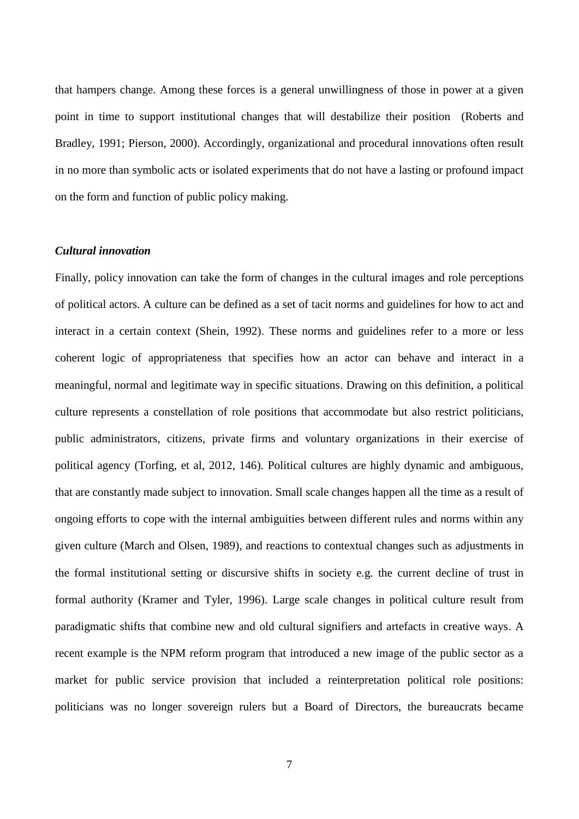that hampers change. Among these forces is a general unwillingness of those in power at a given point in time to support institutional changes that will destabilize their position (Roberts and Bradley, 1991; Pierson, 2000). Accordingly, organizational and procedural innovations often result in no more than symbolic acts or isolated experiments that do not have a lasting or profound impact on the form and function of public policy making.

#### *Cultural innovation*

Finally, policy innovation can take the form of changes in the cultural images and role perceptions of political actors. A culture can be defined as a set of tacit norms and guidelines for how to act and interact in a certain context (Shein, 1992). These norms and guidelines refer to a more or less coherent logic of appropriateness that specifies how an actor can behave and interact in a meaningful, normal and legitimate way in specific situations. Drawing on this definition, a political culture represents a constellation of role positions that accommodate but also restrict politicians, public administrators, citizens, private firms and voluntary organizations in their exercise of political agency (Torfing, et al, 2012, 146). Political cultures are highly dynamic and ambiguous, that are constantly made subject to innovation. Small scale changes happen all the time as a result of ongoing efforts to cope with the internal ambiguities between different rules and norms within any given culture (March and Olsen, 1989), and reactions to contextual changes such as adjustments in the formal institutional setting or discursive shifts in society e.g. the current decline of trust in formal authority (Kramer and Tyler, 1996). Large scale changes in political culture result from paradigmatic shifts that combine new and old cultural signifiers and artefacts in creative ways. A recent example is the NPM reform program that introduced a new image of the public sector as a market for public service provision that included a reinterpretation political role positions: politicians was no longer sovereign rulers but a Board of Directors, the bureaucrats became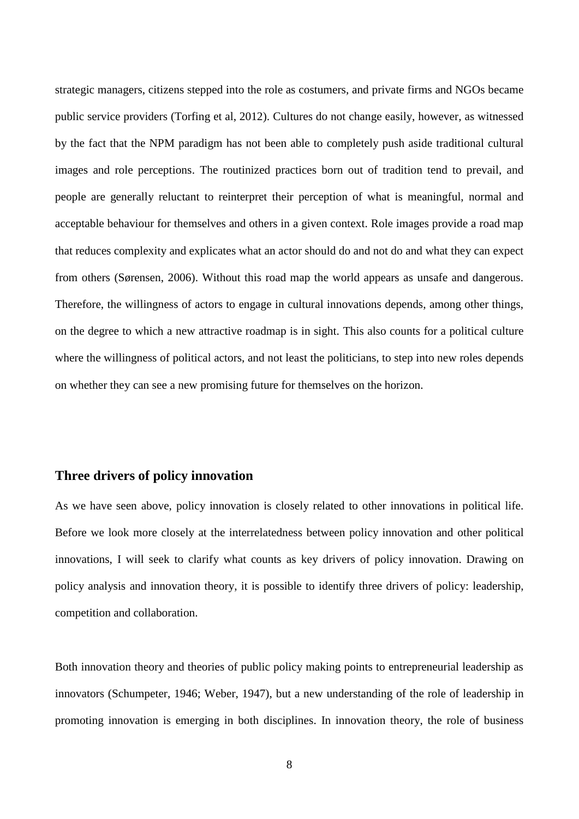strategic managers, citizens stepped into the role as costumers, and private firms and NGOs became public service providers (Torfing et al, 2012). Cultures do not change easily, however, as witnessed by the fact that the NPM paradigm has not been able to completely push aside traditional cultural images and role perceptions. The routinized practices born out of tradition tend to prevail, and people are generally reluctant to reinterpret their perception of what is meaningful, normal and acceptable behaviour for themselves and others in a given context. Role images provide a road map that reduces complexity and explicates what an actor should do and not do and what they can expect from others (Sørensen, 2006). Without this road map the world appears as unsafe and dangerous. Therefore, the willingness of actors to engage in cultural innovations depends, among other things, on the degree to which a new attractive roadmap is in sight. This also counts for a political culture where the willingness of political actors, and not least the politicians, to step into new roles depends on whether they can see a new promising future for themselves on the horizon.

# **Three drivers of policy innovation**

As we have seen above, policy innovation is closely related to other innovations in political life. Before we look more closely at the interrelatedness between policy innovation and other political innovations, I will seek to clarify what counts as key drivers of policy innovation. Drawing on policy analysis and innovation theory, it is possible to identify three drivers of policy: leadership, competition and collaboration.

Both innovation theory and theories of public policy making points to entrepreneurial leadership as innovators (Schumpeter, 1946; Weber, 1947), but a new understanding of the role of leadership in promoting innovation is emerging in both disciplines. In innovation theory, the role of business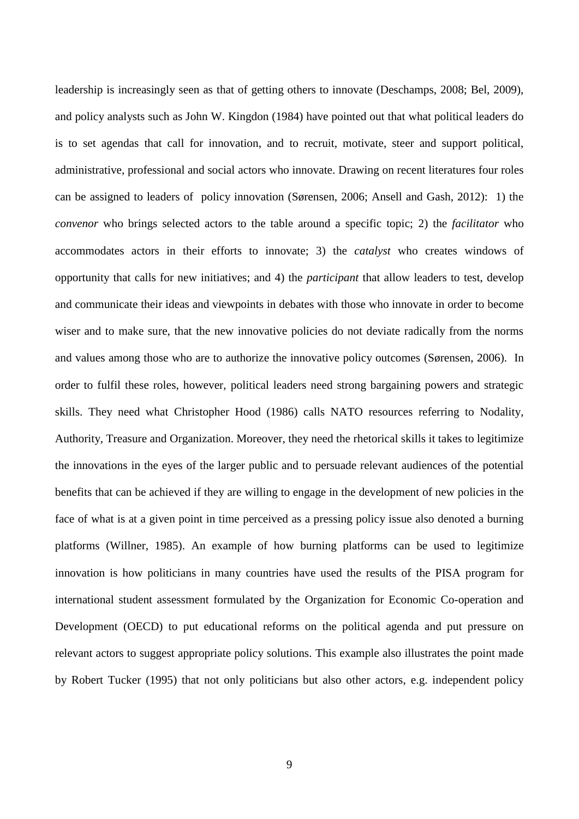leadership is increasingly seen as that of getting others to innovate (Deschamps, 2008; Bel, 2009), and policy analysts such as John W. Kingdon (1984) have pointed out that what political leaders do is to set agendas that call for innovation, and to recruit, motivate, steer and support political, administrative, professional and social actors who innovate. Drawing on recent literatures four roles can be assigned to leaders of policy innovation (Sørensen, 2006; Ansell and Gash, 2012): 1) the *convenor* who brings selected actors to the table around a specific topic; 2) the *facilitator* who accommodates actors in their efforts to innovate; 3) the *catalyst* who creates windows of opportunity that calls for new initiatives; and 4) the *participant* that allow leaders to test, develop and communicate their ideas and viewpoints in debates with those who innovate in order to become wiser and to make sure, that the new innovative policies do not deviate radically from the norms and values among those who are to authorize the innovative policy outcomes (Sørensen, 2006). In order to fulfil these roles, however, political leaders need strong bargaining powers and strategic skills. They need what Christopher Hood (1986) calls NATO resources referring to Nodality, Authority, Treasure and Organization. Moreover, they need the rhetorical skills it takes to legitimize the innovations in the eyes of the larger public and to persuade relevant audiences of the potential benefits that can be achieved if they are willing to engage in the development of new policies in the face of what is at a given point in time perceived as a pressing policy issue also denoted a burning platforms (Willner, 1985). An example of how burning platforms can be used to legitimize innovation is how politicians in many countries have used the results of the PISA program for international student assessment formulated by the Organization for Economic Co-operation and Development (OECD) to put educational reforms on the political agenda and put pressure on relevant actors to suggest appropriate policy solutions. This example also illustrates the point made by Robert Tucker (1995) that not only politicians but also other actors, e.g. independent policy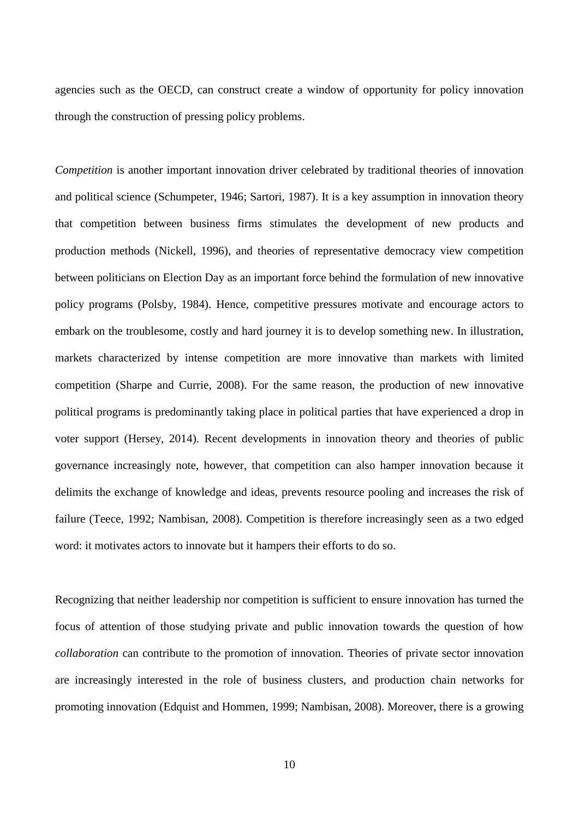agencies such as the OECD, can construct create a window of opportunity for policy innovation through the construction of pressing policy problems.

*Competition* is another important innovation driver celebrated by traditional theories of innovation and political science (Schumpeter, 1946; Sartori, 1987). It is a key assumption in innovation theory that competition between business firms stimulates the development of new products and production methods (Nickell, 1996), and theories of representative democracy view competition between politicians on Election Day as an important force behind the formulation of new innovative policy programs (Polsby, 1984). Hence, competitive pressures motivate and encourage actors to embark on the troublesome, costly and hard journey it is to develop something new. In illustration, markets characterized by intense competition are more innovative than markets with limited competition (Sharpe and Currie, 2008). For the same reason, the production of new innovative political programs is predominantly taking place in political parties that have experienced a drop in voter support (Hersey, 2014). Recent developments in innovation theory and theories of public governance increasingly note, however, that competition can also hamper innovation because it delimits the exchange of knowledge and ideas, prevents resource pooling and increases the risk of failure (Teece, 1992; Nambisan, 2008). Competition is therefore increasingly seen as a two edged word: it motivates actors to innovate but it hampers their efforts to do so.

Recognizing that neither leadership nor competition is sufficient to ensure innovation has turned the focus of attention of those studying private and public innovation towards the question of how *collaboration* can contribute to the promotion of innovation. Theories of private sector innovation are increasingly interested in the role of business clusters, and production chain networks for promoting innovation (Edquist and Hommen, 1999; Nambisan, 2008). Moreover, there is a growing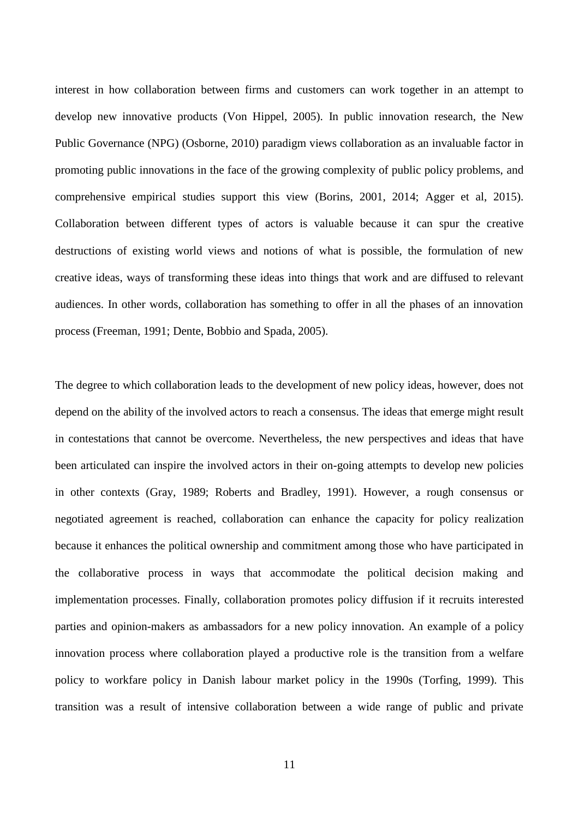interest in how collaboration between firms and customers can work together in an attempt to develop new innovative products (Von Hippel, 2005). In public innovation research, the New Public Governance (NPG) (Osborne, 2010) paradigm views collaboration as an invaluable factor in promoting public innovations in the face of the growing complexity of public policy problems, and comprehensive empirical studies support this view (Borins, 2001, 2014; Agger et al, 2015). Collaboration between different types of actors is valuable because it can spur the creative destructions of existing world views and notions of what is possible, the formulation of new creative ideas, ways of transforming these ideas into things that work and are diffused to relevant audiences. In other words, collaboration has something to offer in all the phases of an innovation process (Freeman, 1991; Dente, Bobbio and Spada, 2005).

The degree to which collaboration leads to the development of new policy ideas, however, does not depend on the ability of the involved actors to reach a consensus. The ideas that emerge might result in contestations that cannot be overcome. Nevertheless, the new perspectives and ideas that have been articulated can inspire the involved actors in their on-going attempts to develop new policies in other contexts (Gray, 1989; Roberts and Bradley, 1991). However, a rough consensus or negotiated agreement is reached, collaboration can enhance the capacity for policy realization because it enhances the political ownership and commitment among those who have participated in the collaborative process in ways that accommodate the political decision making and implementation processes. Finally, collaboration promotes policy diffusion if it recruits interested parties and opinion-makers as ambassadors for a new policy innovation. An example of a policy innovation process where collaboration played a productive role is the transition from a welfare policy to workfare policy in Danish labour market policy in the 1990s (Torfing, 1999). This transition was a result of intensive collaboration between a wide range of public and private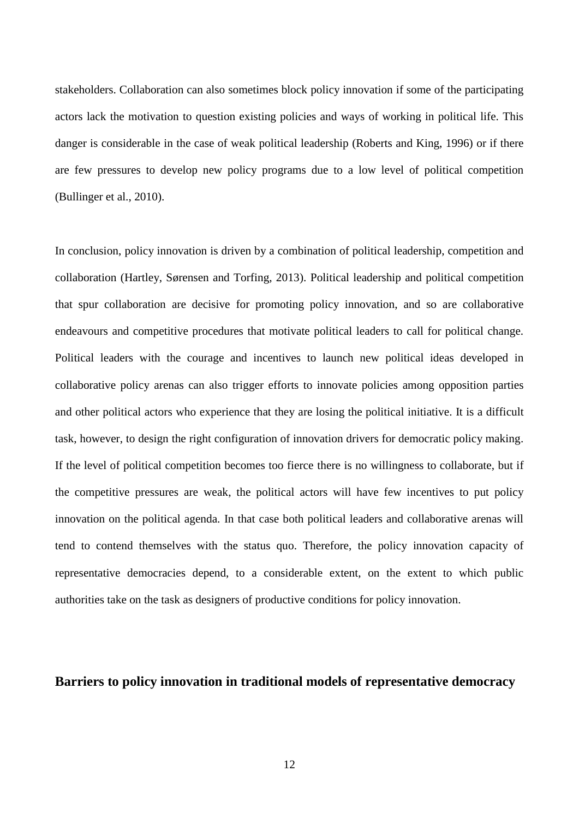stakeholders. Collaboration can also sometimes block policy innovation if some of the participating actors lack the motivation to question existing policies and ways of working in political life. This danger is considerable in the case of weak political leadership (Roberts and King, 1996) or if there are few pressures to develop new policy programs due to a low level of political competition (Bullinger et al., 2010).

In conclusion, policy innovation is driven by a combination of political leadership, competition and collaboration (Hartley, Sørensen and Torfing, 2013). Political leadership and political competition that spur collaboration are decisive for promoting policy innovation, and so are collaborative endeavours and competitive procedures that motivate political leaders to call for political change. Political leaders with the courage and incentives to launch new political ideas developed in collaborative policy arenas can also trigger efforts to innovate policies among opposition parties and other political actors who experience that they are losing the political initiative. It is a difficult task, however, to design the right configuration of innovation drivers for democratic policy making. If the level of political competition becomes too fierce there is no willingness to collaborate, but if the competitive pressures are weak, the political actors will have few incentives to put policy innovation on the political agenda. In that case both political leaders and collaborative arenas will tend to contend themselves with the status quo. Therefore, the policy innovation capacity of representative democracies depend, to a considerable extent, on the extent to which public authorities take on the task as designers of productive conditions for policy innovation.

## **Barriers to policy innovation in traditional models of representative democracy**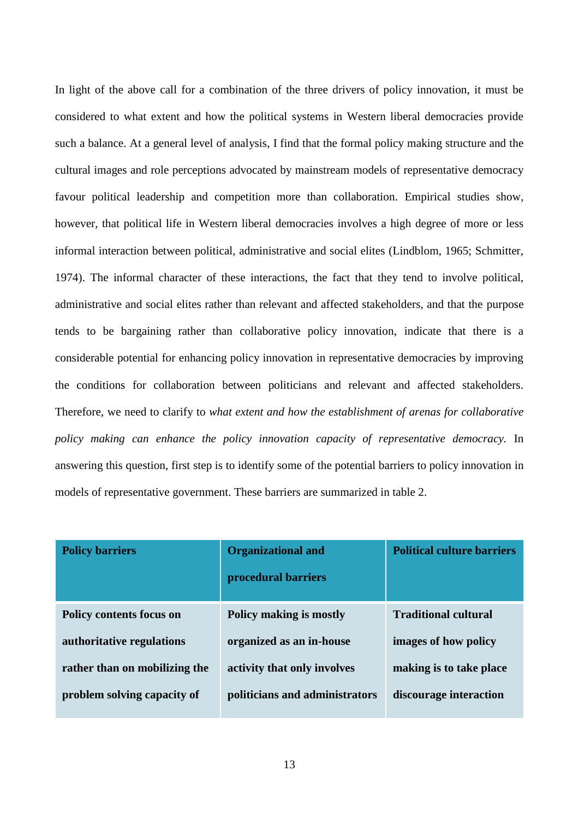In light of the above call for a combination of the three drivers of policy innovation, it must be considered to what extent and how the political systems in Western liberal democracies provide such a balance. At a general level of analysis, I find that the formal policy making structure and the cultural images and role perceptions advocated by mainstream models of representative democracy favour political leadership and competition more than collaboration. Empirical studies show, however, that political life in Western liberal democracies involves a high degree of more or less informal interaction between political, administrative and social elites (Lindblom, 1965; Schmitter, 1974). The informal character of these interactions, the fact that they tend to involve political, administrative and social elites rather than relevant and affected stakeholders, and that the purpose tends to be bargaining rather than collaborative policy innovation, indicate that there is a considerable potential for enhancing policy innovation in representative democracies by improving the conditions for collaboration between politicians and relevant and affected stakeholders. Therefore, we need to clarify to *what extent and how the establishment of arenas for collaborative policy making can enhance the policy innovation capacity of representative democracy.* In answering this question, first step is to identify some of the potential barriers to policy innovation in models of representative government. These barriers are summarized in table 2.

| <b>Policy barriers</b>          | <b>Organizational and</b><br>procedural barriers | <b>Political culture barriers</b> |
|---------------------------------|--------------------------------------------------|-----------------------------------|
| <b>Policy contents focus on</b> | Policy making is mostly                          | <b>Traditional cultural</b>       |
| authoritative regulations       | organized as an in-house                         | images of how policy              |
| rather than on mobilizing the   | activity that only involves                      | making is to take place           |
| problem solving capacity of     | politicians and administrators                   | discourage interaction            |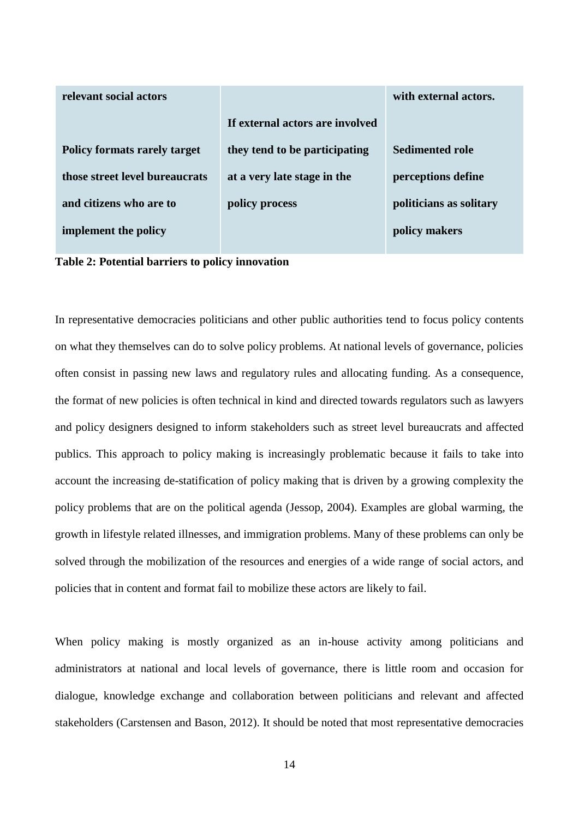| relevant social actors              |                                 | with external actors.   |
|-------------------------------------|---------------------------------|-------------------------|
|                                     | If external actors are involved |                         |
| <b>Policy formats rarely target</b> | they tend to be participating   | <b>Sedimented role</b>  |
| those street level bureaucrats      | at a very late stage in the     | perceptions define      |
| and citizens who are to             | policy process                  | politicians as solitary |
| implement the policy                |                                 | policy makers           |

**Table 2: Potential barriers to policy innovation** 

In representative democracies politicians and other public authorities tend to focus policy contents on what they themselves can do to solve policy problems. At national levels of governance, policies often consist in passing new laws and regulatory rules and allocating funding. As a consequence, the format of new policies is often technical in kind and directed towards regulators such as lawyers and policy designers designed to inform stakeholders such as street level bureaucrats and affected publics. This approach to policy making is increasingly problematic because it fails to take into account the increasing de-statification of policy making that is driven by a growing complexity the policy problems that are on the political agenda (Jessop, 2004). Examples are global warming, the growth in lifestyle related illnesses, and immigration problems. Many of these problems can only be solved through the mobilization of the resources and energies of a wide range of social actors, and policies that in content and format fail to mobilize these actors are likely to fail.

When policy making is mostly organized as an in-house activity among politicians and administrators at national and local levels of governance, there is little room and occasion for dialogue, knowledge exchange and collaboration between politicians and relevant and affected stakeholders (Carstensen and Bason, 2012). It should be noted that most representative democracies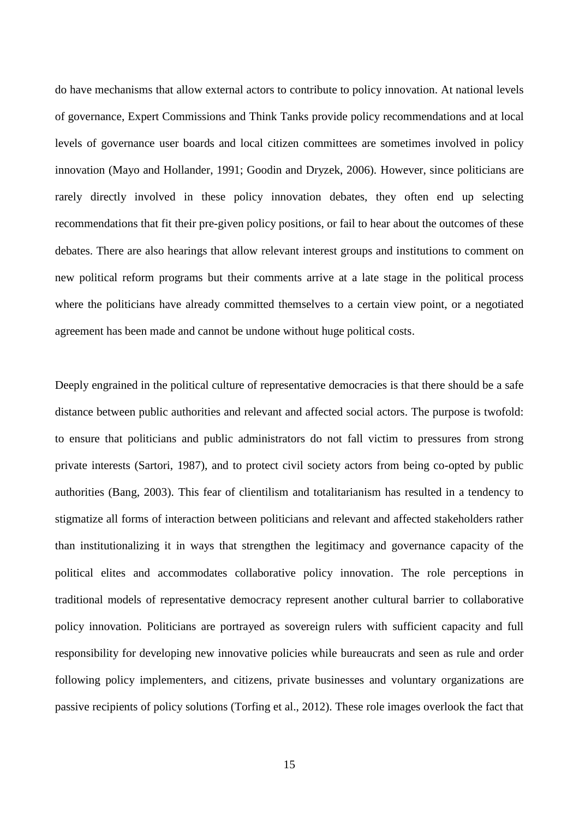do have mechanisms that allow external actors to contribute to policy innovation. At national levels of governance, Expert Commissions and Think Tanks provide policy recommendations and at local levels of governance user boards and local citizen committees are sometimes involved in policy innovation (Mayo and Hollander, 1991; Goodin and Dryzek, 2006). However, since politicians are rarely directly involved in these policy innovation debates, they often end up selecting recommendations that fit their pre-given policy positions, or fail to hear about the outcomes of these debates. There are also hearings that allow relevant interest groups and institutions to comment on new political reform programs but their comments arrive at a late stage in the political process where the politicians have already committed themselves to a certain view point, or a negotiated agreement has been made and cannot be undone without huge political costs.

Deeply engrained in the political culture of representative democracies is that there should be a safe distance between public authorities and relevant and affected social actors. The purpose is twofold: to ensure that politicians and public administrators do not fall victim to pressures from strong private interests (Sartori, 1987), and to protect civil society actors from being co-opted by public authorities (Bang, 2003). This fear of clientilism and totalitarianism has resulted in a tendency to stigmatize all forms of interaction between politicians and relevant and affected stakeholders rather than institutionalizing it in ways that strengthen the legitimacy and governance capacity of the political elites and accommodates collaborative policy innovation. The role perceptions in traditional models of representative democracy represent another cultural barrier to collaborative policy innovation. Politicians are portrayed as sovereign rulers with sufficient capacity and full responsibility for developing new innovative policies while bureaucrats and seen as rule and order following policy implementers, and citizens, private businesses and voluntary organizations are passive recipients of policy solutions (Torfing et al., 2012). These role images overlook the fact that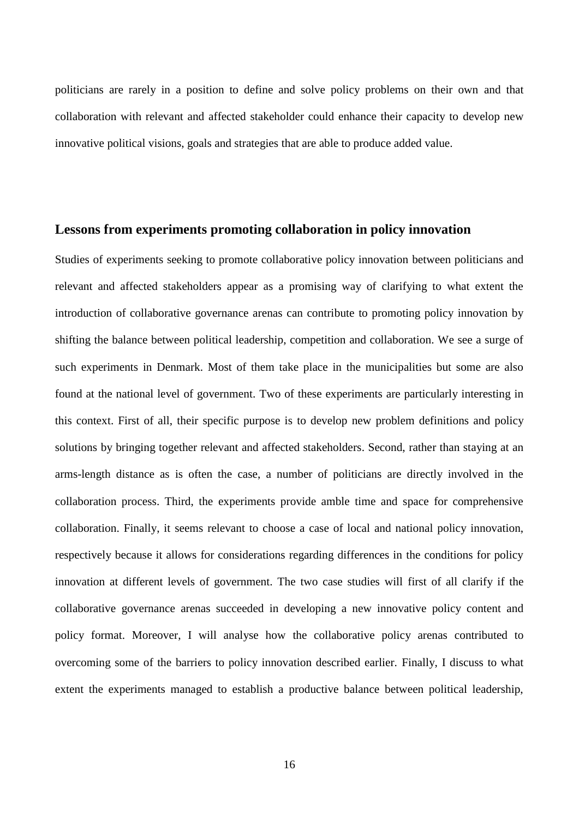politicians are rarely in a position to define and solve policy problems on their own and that collaboration with relevant and affected stakeholder could enhance their capacity to develop new innovative political visions, goals and strategies that are able to produce added value.

## **Lessons from experiments promoting collaboration in policy innovation**

Studies of experiments seeking to promote collaborative policy innovation between politicians and relevant and affected stakeholders appear as a promising way of clarifying to what extent the introduction of collaborative governance arenas can contribute to promoting policy innovation by shifting the balance between political leadership, competition and collaboration. We see a surge of such experiments in Denmark. Most of them take place in the municipalities but some are also found at the national level of government. Two of these experiments are particularly interesting in this context. First of all, their specific purpose is to develop new problem definitions and policy solutions by bringing together relevant and affected stakeholders. Second, rather than staying at an arms-length distance as is often the case, a number of politicians are directly involved in the collaboration process. Third, the experiments provide amble time and space for comprehensive collaboration. Finally, it seems relevant to choose a case of local and national policy innovation, respectively because it allows for considerations regarding differences in the conditions for policy innovation at different levels of government. The two case studies will first of all clarify if the collaborative governance arenas succeeded in developing a new innovative policy content and policy format. Moreover, I will analyse how the collaborative policy arenas contributed to overcoming some of the barriers to policy innovation described earlier. Finally, I discuss to what extent the experiments managed to establish a productive balance between political leadership,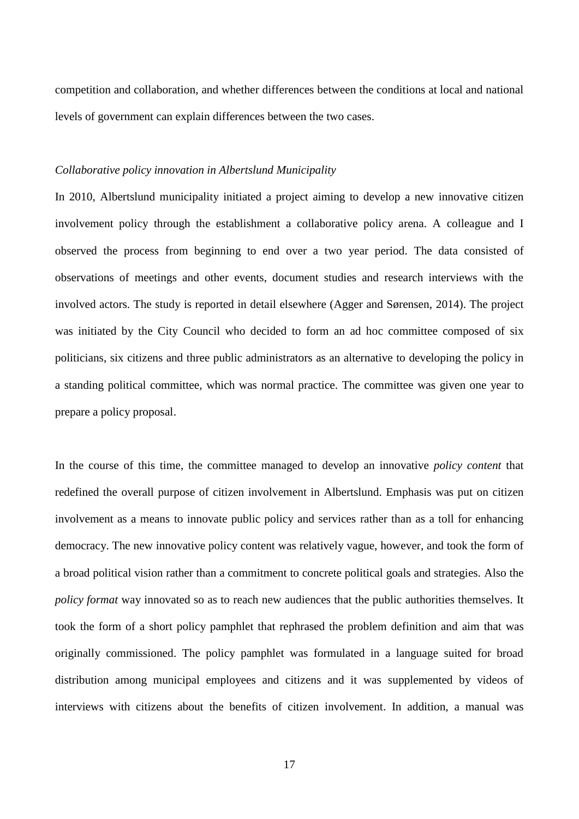competition and collaboration, and whether differences between the conditions at local and national levels of government can explain differences between the two cases.

#### *Collaborative policy innovation in Albertslund Municipality*

In 2010, Albertslund municipality initiated a project aiming to develop a new innovative citizen involvement policy through the establishment a collaborative policy arena. A colleague and I observed the process from beginning to end over a two year period. The data consisted of observations of meetings and other events, document studies and research interviews with the involved actors. The study is reported in detail elsewhere (Agger and Sørensen, 2014). The project was initiated by the City Council who decided to form an ad hoc committee composed of six politicians, six citizens and three public administrators as an alternative to developing the policy in a standing political committee, which was normal practice. The committee was given one year to prepare a policy proposal.

In the course of this time, the committee managed to develop an innovative *policy content* that redefined the overall purpose of citizen involvement in Albertslund. Emphasis was put on citizen involvement as a means to innovate public policy and services rather than as a toll for enhancing democracy. The new innovative policy content was relatively vague, however, and took the form of a broad political vision rather than a commitment to concrete political goals and strategies. Also the *policy format* way innovated so as to reach new audiences that the public authorities themselves. It took the form of a short policy pamphlet that rephrased the problem definition and aim that was originally commissioned. The policy pamphlet was formulated in a language suited for broad distribution among municipal employees and citizens and it was supplemented by videos of interviews with citizens about the benefits of citizen involvement. In addition, a manual was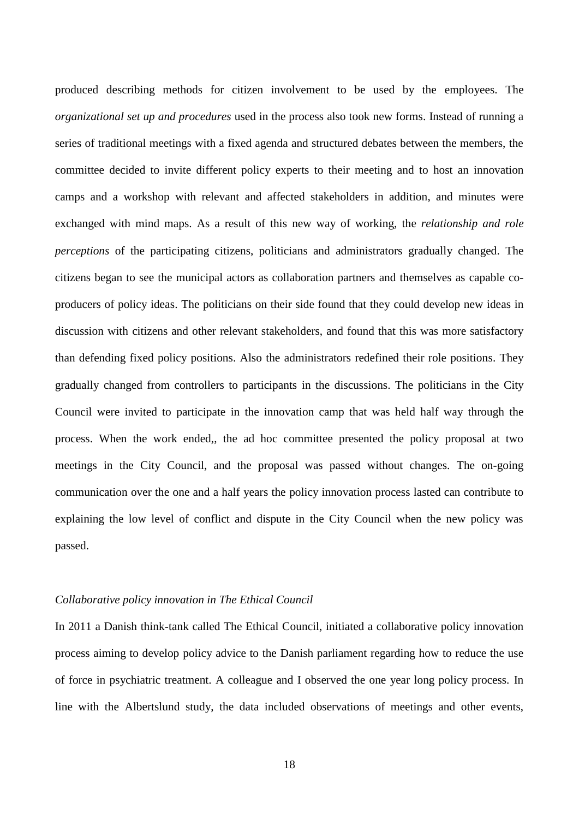produced describing methods for citizen involvement to be used by the employees. The *organizational set up and procedures* used in the process also took new forms. Instead of running a series of traditional meetings with a fixed agenda and structured debates between the members, the committee decided to invite different policy experts to their meeting and to host an innovation camps and a workshop with relevant and affected stakeholders in addition, and minutes were exchanged with mind maps. As a result of this new way of working, the *relationship and role perceptions* of the participating citizens, politicians and administrators gradually changed. The citizens began to see the municipal actors as collaboration partners and themselves as capable coproducers of policy ideas. The politicians on their side found that they could develop new ideas in discussion with citizens and other relevant stakeholders, and found that this was more satisfactory than defending fixed policy positions. Also the administrators redefined their role positions. They gradually changed from controllers to participants in the discussions. The politicians in the City Council were invited to participate in the innovation camp that was held half way through the process. When the work ended,, the ad hoc committee presented the policy proposal at two meetings in the City Council, and the proposal was passed without changes. The on-going communication over the one and a half years the policy innovation process lasted can contribute to explaining the low level of conflict and dispute in the City Council when the new policy was passed.

#### *Collaborative policy innovation in The Ethical Council*

In 2011 a Danish think-tank called The Ethical Council, initiated a collaborative policy innovation process aiming to develop policy advice to the Danish parliament regarding how to reduce the use of force in psychiatric treatment. A colleague and I observed the one year long policy process. In line with the Albertslund study, the data included observations of meetings and other events,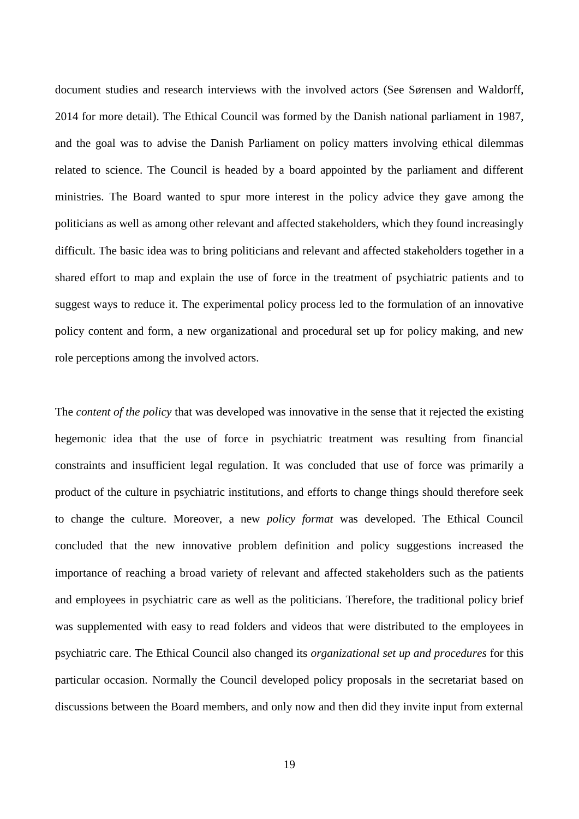document studies and research interviews with the involved actors (See Sørensen and Waldorff, 2014 for more detail). The Ethical Council was formed by the Danish national parliament in 1987, and the goal was to advise the Danish Parliament on policy matters involving ethical dilemmas related to science. The Council is headed by a board appointed by the parliament and different ministries. The Board wanted to spur more interest in the policy advice they gave among the politicians as well as among other relevant and affected stakeholders, which they found increasingly difficult. The basic idea was to bring politicians and relevant and affected stakeholders together in a shared effort to map and explain the use of force in the treatment of psychiatric patients and to suggest ways to reduce it. The experimental policy process led to the formulation of an innovative policy content and form, a new organizational and procedural set up for policy making, and new role perceptions among the involved actors.

The *content of the policy* that was developed was innovative in the sense that it rejected the existing hegemonic idea that the use of force in psychiatric treatment was resulting from financial constraints and insufficient legal regulation. It was concluded that use of force was primarily a product of the culture in psychiatric institutions, and efforts to change things should therefore seek to change the culture. Moreover, a new *policy format* was developed. The Ethical Council concluded that the new innovative problem definition and policy suggestions increased the importance of reaching a broad variety of relevant and affected stakeholders such as the patients and employees in psychiatric care as well as the politicians. Therefore, the traditional policy brief was supplemented with easy to read folders and videos that were distributed to the employees in psychiatric care. The Ethical Council also changed its *organizational set up and procedures* for this particular occasion. Normally the Council developed policy proposals in the secretariat based on discussions between the Board members, and only now and then did they invite input from external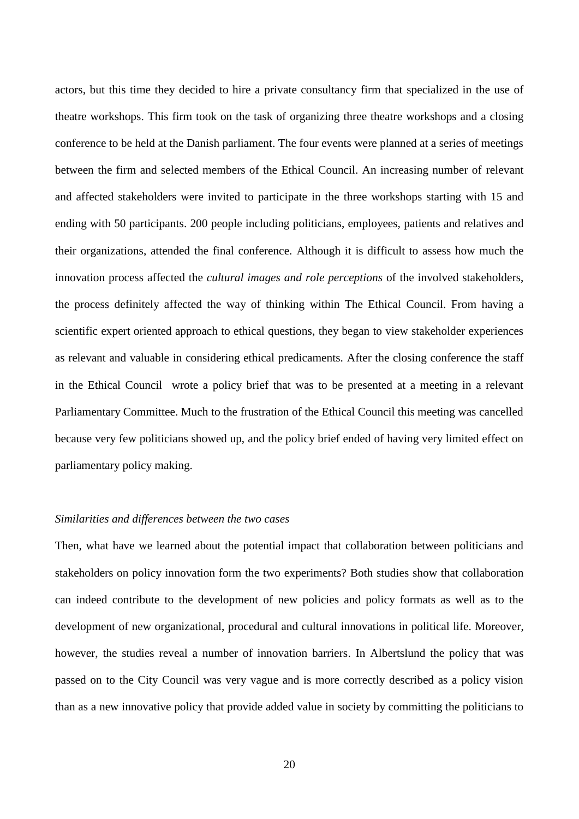actors, but this time they decided to hire a private consultancy firm that specialized in the use of theatre workshops. This firm took on the task of organizing three theatre workshops and a closing conference to be held at the Danish parliament. The four events were planned at a series of meetings between the firm and selected members of the Ethical Council. An increasing number of relevant and affected stakeholders were invited to participate in the three workshops starting with 15 and ending with 50 participants. 200 people including politicians, employees, patients and relatives and their organizations, attended the final conference. Although it is difficult to assess how much the innovation process affected the *cultural images and role perceptions* of the involved stakeholders, the process definitely affected the way of thinking within The Ethical Council. From having a scientific expert oriented approach to ethical questions, they began to view stakeholder experiences as relevant and valuable in considering ethical predicaments. After the closing conference the staff in the Ethical Council wrote a policy brief that was to be presented at a meeting in a relevant Parliamentary Committee. Much to the frustration of the Ethical Council this meeting was cancelled because very few politicians showed up, and the policy brief ended of having very limited effect on parliamentary policy making.

#### *Similarities and differences between the two cases*

Then, what have we learned about the potential impact that collaboration between politicians and stakeholders on policy innovation form the two experiments? Both studies show that collaboration can indeed contribute to the development of new policies and policy formats as well as to the development of new organizational, procedural and cultural innovations in political life. Moreover, however, the studies reveal a number of innovation barriers. In Albertslund the policy that was passed on to the City Council was very vague and is more correctly described as a policy vision than as a new innovative policy that provide added value in society by committing the politicians to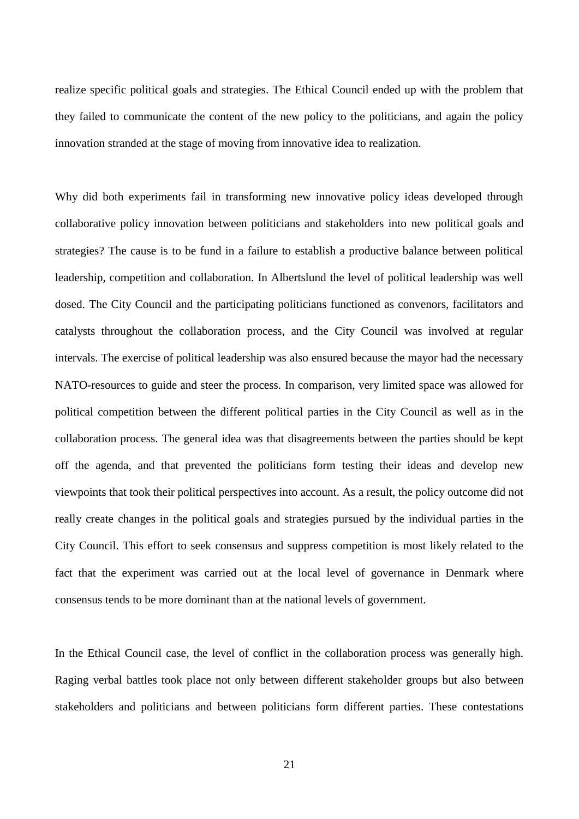realize specific political goals and strategies. The Ethical Council ended up with the problem that they failed to communicate the content of the new policy to the politicians, and again the policy innovation stranded at the stage of moving from innovative idea to realization.

Why did both experiments fail in transforming new innovative policy ideas developed through collaborative policy innovation between politicians and stakeholders into new political goals and strategies? The cause is to be fund in a failure to establish a productive balance between political leadership, competition and collaboration. In Albertslund the level of political leadership was well dosed. The City Council and the participating politicians functioned as convenors, facilitators and catalysts throughout the collaboration process, and the City Council was involved at regular intervals. The exercise of political leadership was also ensured because the mayor had the necessary NATO-resources to guide and steer the process. In comparison, very limited space was allowed for political competition between the different political parties in the City Council as well as in the collaboration process. The general idea was that disagreements between the parties should be kept off the agenda, and that prevented the politicians form testing their ideas and develop new viewpoints that took their political perspectives into account. As a result, the policy outcome did not really create changes in the political goals and strategies pursued by the individual parties in the City Council. This effort to seek consensus and suppress competition is most likely related to the fact that the experiment was carried out at the local level of governance in Denmark where consensus tends to be more dominant than at the national levels of government.

In the Ethical Council case, the level of conflict in the collaboration process was generally high. Raging verbal battles took place not only between different stakeholder groups but also between stakeholders and politicians and between politicians form different parties. These contestations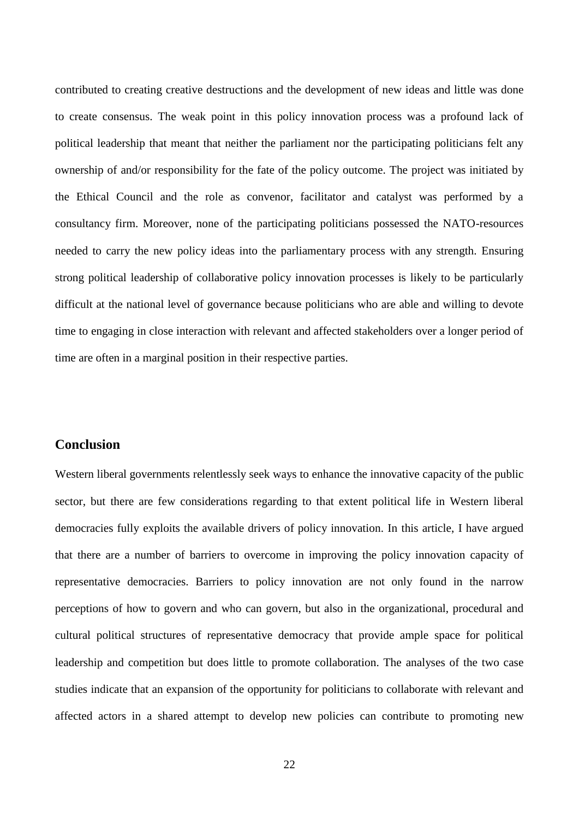contributed to creating creative destructions and the development of new ideas and little was done to create consensus. The weak point in this policy innovation process was a profound lack of political leadership that meant that neither the parliament nor the participating politicians felt any ownership of and/or responsibility for the fate of the policy outcome. The project was initiated by the Ethical Council and the role as convenor, facilitator and catalyst was performed by a consultancy firm. Moreover, none of the participating politicians possessed the NATO-resources needed to carry the new policy ideas into the parliamentary process with any strength. Ensuring strong political leadership of collaborative policy innovation processes is likely to be particularly difficult at the national level of governance because politicians who are able and willing to devote time to engaging in close interaction with relevant and affected stakeholders over a longer period of time are often in a marginal position in their respective parties.

# **Conclusion**

Western liberal governments relentlessly seek ways to enhance the innovative capacity of the public sector, but there are few considerations regarding to that extent political life in Western liberal democracies fully exploits the available drivers of policy innovation. In this article, I have argued that there are a number of barriers to overcome in improving the policy innovation capacity of representative democracies. Barriers to policy innovation are not only found in the narrow perceptions of how to govern and who can govern, but also in the organizational, procedural and cultural political structures of representative democracy that provide ample space for political leadership and competition but does little to promote collaboration. The analyses of the two case studies indicate that an expansion of the opportunity for politicians to collaborate with relevant and affected actors in a shared attempt to develop new policies can contribute to promoting new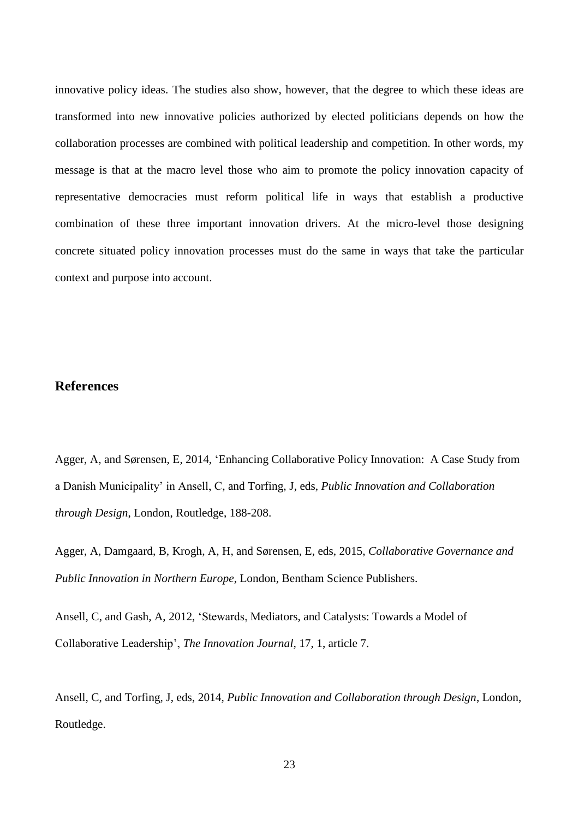innovative policy ideas. The studies also show, however, that the degree to which these ideas are transformed into new innovative policies authorized by elected politicians depends on how the collaboration processes are combined with political leadership and competition. In other words, my message is that at the macro level those who aim to promote the policy innovation capacity of representative democracies must reform political life in ways that establish a productive combination of these three important innovation drivers. At the micro-level those designing concrete situated policy innovation processes must do the same in ways that take the particular context and purpose into account.

# **References**

Agger, A, and Sørensen, E, 2014, 'Enhancing Collaborative Policy Innovation: A Case Study from a Danish Municipality' in Ansell, C, and Torfing, J, eds, *Public Innovation and Collaboration through Design*, London, Routledge, 188-208.

Agger, A, Damgaard, B, Krogh, A, H, and Sørensen, E, eds, 2015, *Collaborative Governance and Public Innovation in Northern Europe*, London, Bentham Science Publishers.

Ansell, C, and Gash, A, 2012, 'Stewards, Mediators, and Catalysts: Towards a Model of Collaborative Leadership', *The Innovation Journal*, 17, 1, article 7.

Ansell, C, and Torfing, J, eds, 2014, *Public Innovation and Collaboration through Design*, London, Routledge.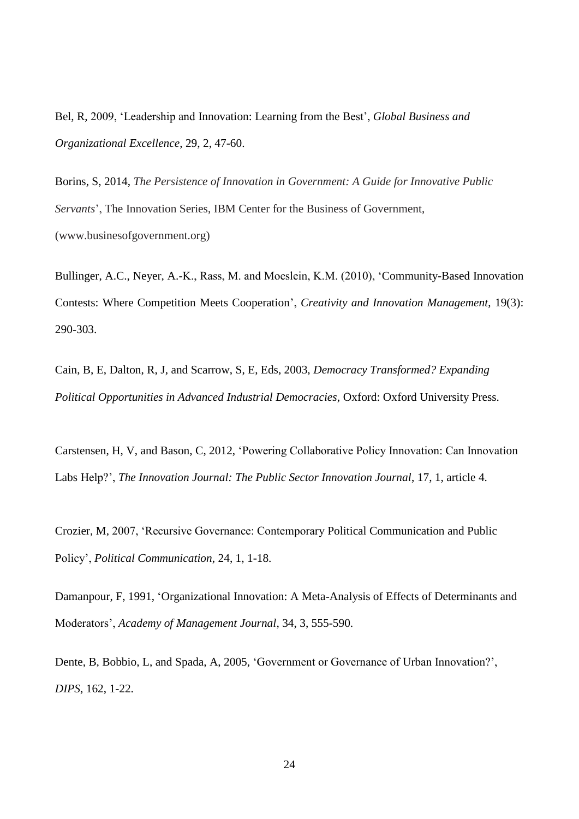Bel, R, 2009, 'Leadership and Innovation: Learning from the Best', *Global Business and Organizational Excellence*, 29, 2, 47-60.

Borins, S, 2014, *The Persistence of Innovation in Government: A Guide for Innovative Public Servants*', The Innovation Series, IBM Center for the Business of Government, (www.businesofgovernment.org)

Bullinger, A.C., Neyer, A.-K., Rass, M. and Moeslein, K.M. (2010), 'Community-Based Innovation Contests: Where Competition Meets Cooperation', *Creativity and Innovation Management*, 19(3): 290-303.

Cain, B, E, Dalton, R, J, and Scarrow, S, E, Eds, 2003, *Democracy Transformed? Expanding Political Opportunities in Advanced Industrial Democracies*, Oxford: Oxford University Press.

Carstensen, H, V, and Bason, C, 2012, 'Powering Collaborative Policy Innovation: Can Innovation Labs Help?', *The Innovation Journal: The Public Sector Innovation Journal*, 17, 1, article 4.

Crozier, M, 2007, 'Recursive Governance: Contemporary Political Communication and Public Policy', *Political Communication*, 24, 1, 1-18.

Damanpour, F, 1991, 'Organizational Innovation: A Meta-Analysis of Effects of Determinants and Moderators', *Academy of Management Journal*, 34, 3, 555-590.

Dente, B, Bobbio, L, and Spada, A, 2005, 'Government or Governance of Urban Innovation?', *DIPS*, 162, 1-22.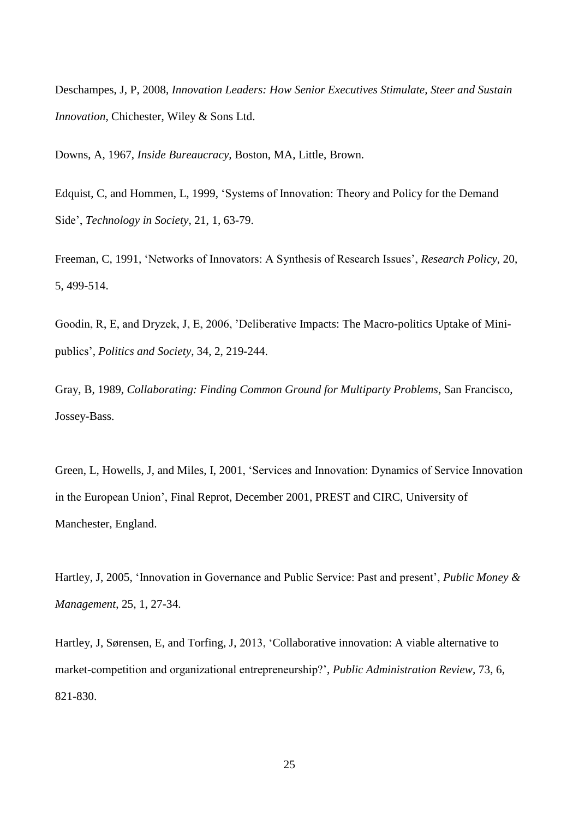Deschampes, J, P, 2008, *Innovation Leaders: How Senior Executives Stimulate, Steer and Sustain Innovation*, Chichester, Wiley & Sons Ltd.

Downs, A, 1967, *Inside Bureaucracy,* Boston, MA, Little, Brown.

Edquist, C, and Hommen, L, 1999, 'Systems of Innovation: Theory and Policy for the Demand Side', *Technology in Society*, 21, 1, 63-79.

Freeman, C, 1991, 'Networks of Innovators: A Synthesis of Research Issues', *Research Policy*, 20, 5, 499-514.

Goodin, R, E, and Dryzek, J, E, 2006, 'Deliberative Impacts: The Macro-politics Uptake of Minipublics', *Politics and Society*, 34, 2, 219-244.

Gray, B, 1989, *Collaborating: Finding Common Ground for Multiparty Problems*, San Francisco, Jossey-Bass.

Green, L, Howells, J, and Miles, I, 2001, 'Services and Innovation: Dynamics of Service Innovation in the European Union', Final Reprot, December 2001, PREST and CIRC, University of Manchester, England.

Hartley, J, 2005, 'Innovation in Governance and Public Service: Past and present', *Public Money & Management*, 25, 1, 27-34.

Hartley, J, Sørensen, E, and Torfing, J, 2013, 'Collaborative innovation: A viable alternative to market-competition and organizational entrepreneurship?', *Public Administration Review,* 73, 6, 821-830.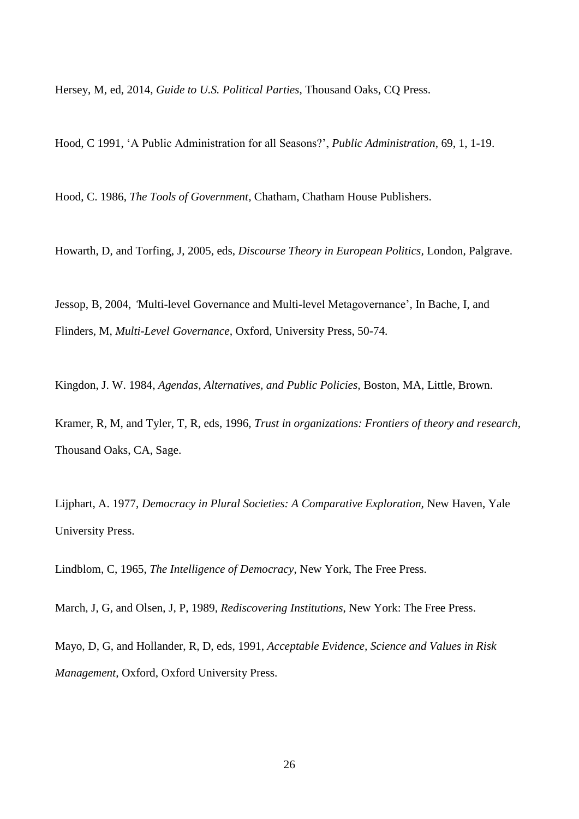Hersey, M, ed, 2014, *Guide to U.S. Political Parties*, Thousand Oaks, CQ Press.

Hood, C 1991, 'A Public Administration for all Seasons?', *Public Administration*, 69, 1, 1-19.

Hood, C. 1986, *The Tools of Government,* Chatham, Chatham House Publishers.

Howarth, D, and Torfing, J, 2005, eds, *Discourse Theory in European Politics,* London, Palgrave.

Jessop, B, 2004, *'*Multi-level Governance and Multi-level Metagovernance', In Bache, I, and Flinders, M, *Multi-Level Governance,* Oxford, University Press, 50-74.

Kingdon, J. W. 1984, *Agendas, Alternatives, and Public Policies,* Boston, MA, Little, Brown.

Kramer, R, M, and Tyler, T, R, eds, 1996*, Trust in organizations: Frontiers of theory and research*, Thousand Oaks, CA, Sage.

Lijphart, A. 1977, *Democracy in Plural Societies: A Comparative Exploration,* New Haven, Yale University Press.

Lindblom, C, 1965, *The Intelligence of Democracy*, New York, The Free Press.

March, J, G, and Olsen, J, P, 1989, *Rediscovering Institutions*, New York: The Free Press.

Mayo, D, G, and Hollander, R, D, eds, 1991, *Acceptable Evidence, Science and Values in Risk Management,* Oxford, Oxford University Press.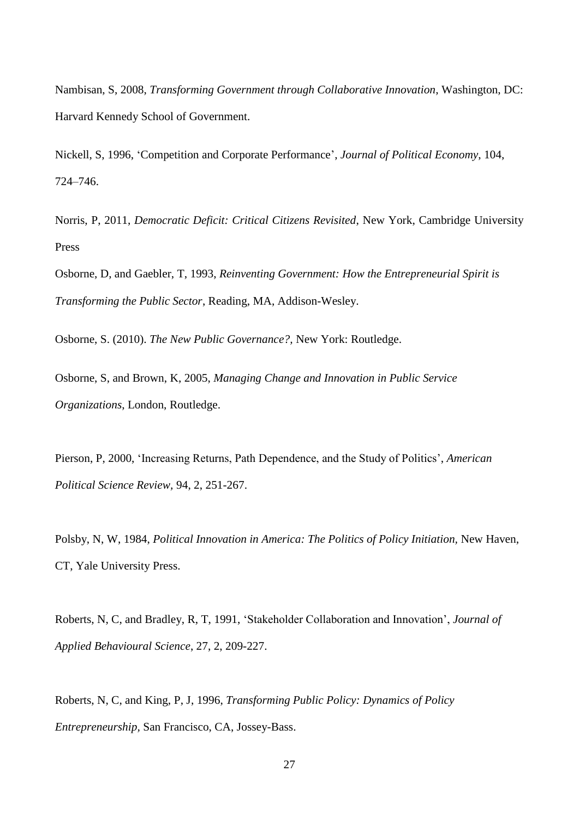Nambisan, S, 2008, *Transforming Government through Collaborative Innovation*, Washington, DC: Harvard Kennedy School of Government.

Nickell, S, 1996, 'Competition and Corporate Performance', *Journal of Political Economy*, 104, 724–746.

Norris, P, 2011, *Democratic Deficit: Critical Citizens Revisited*, New York, Cambridge University Press

Osborne, D, and Gaebler, T, 1993, *Reinventing Government: How the Entrepreneurial Spirit is Transforming the Public Sector*, Reading, MA, Addison-Wesley.

Osborne, S. (2010). *The New Public Governance?,* New York: Routledge.

Osborne, S, and Brown, K, 2005, *Managing Change and Innovation in Public Service Organizations*, London, Routledge.

Pierson, P, 2000, 'Increasing Returns, Path Dependence, and the Study of Politics', *American Political Science Review,* 94, 2, 251-267.

Polsby, N, W, 1984, *Political Innovation in America: The Politics of Policy Initiation,* New Haven, CT, Yale University Press.

Roberts, N, C, and Bradley, R, T, 1991, 'Stakeholder Collaboration and Innovation', *Journal of Applied Behavioural Science*, 27, 2, 209-227.

Roberts, N, C, and King, P, J, 1996, *Transforming Public Policy: Dynamics of Policy Entrepreneurship,* San Francisco, CA, Jossey-Bass.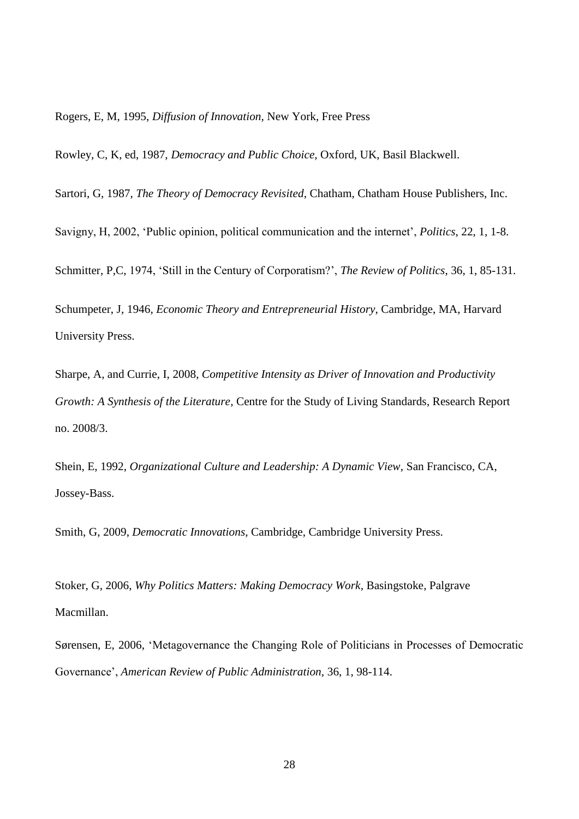Rogers, E, M, 1995, *Diffusion of Innovation,* New York, Free Press

Rowley, C, K, ed, 1987, *Democracy and Public Choice,* Oxford, UK, Basil Blackwell.

Sartori, G, 1987, *The Theory of Democracy Revisited*, Chatham, Chatham House Publishers, Inc.

Savigny, H, 2002, 'Public opinion, political communication and the internet', *Politics*, 22, 1, 1-8.

Schmitter, P,C, 1974, 'Still in the Century of Corporatism?', *The Review of Politics*, 36, 1, 85-131.

Schumpeter, J, 1946, *Economic Theory and Entrepreneurial History*, Cambridge, MA, Harvard University Press.

Sharpe, A, and Currie, I, 2008, *Competitive Intensity as Driver of Innovation and Productivity Growth: A Synthesis of the Literature,* Centre for the Study of Living Standards, Research Report no. 2008/3.

Shein, E, 1992, *Organizational Culture and Leadership: A Dynamic View*, San Francisco, CA, Jossey-Bass.

Smith, G, 2009, *Democratic Innovations*, Cambridge, Cambridge University Press.

Stoker, G, 2006, *Why Politics Matters: Making Democracy Work,* Basingstoke, Palgrave Macmillan.

Sørensen, E, 2006, 'Metagovernance the Changing Role of Politicians in Processes of Democratic Governance', *American Review of Public Administration,* 36, 1, 98-114.